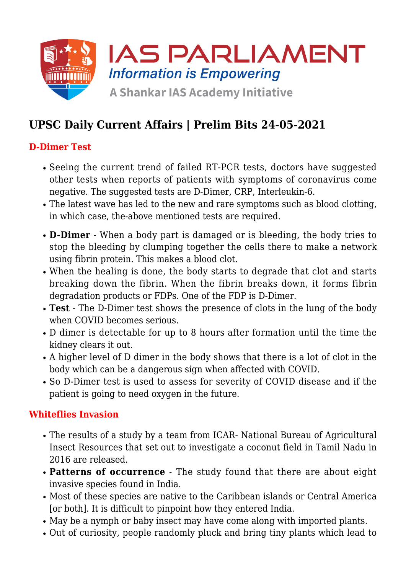

# **UPSC Daily Current Affairs | Prelim Bits 24-05-2021**

#### **D-Dimer Test**

- Seeing the current trend of failed RT-PCR tests, doctors have suggested other tests when reports of patients with symptoms of coronavirus come negative. The suggested tests are D-Dimer, CRP, Interleukin-6.
- The latest wave has led to the new and rare symptoms such as blood clotting, in which case, the-above mentioned tests are required.
- **D-Dimer** When a body part is damaged or is bleeding, the body tries to stop the bleeding by clumping together the cells there to make a network using fibrin protein. This makes a blood clot.
- When the healing is done, the body starts to degrade that clot and starts breaking down the fibrin. When the fibrin breaks down, it forms fibrin degradation products or FDPs. One of the FDP is D-Dimer.
- **Test** The D-Dimer test shows the presence of clots in the lung of the body when COVID becomes serious.
- D dimer is detectable for up to 8 hours after formation until the time the kidney clears it out.
- A higher level of D dimer in the body shows that there is a lot of clot in the body which can be a dangerous sign when affected with COVID.
- So D-Dimer test is used to assess for severity of COVID disease and if the patient is going to need oxygen in the future.

#### **Whiteflies Invasion**

- The results of a study by a team from ICAR- National Bureau of Agricultural Insect Resources that set out to investigate a coconut field in Tamil Nadu in 2016 are released.
- **Patterns of occurrence** The study found that there are about eight invasive species found in India.
- Most of these species are native to the Caribbean islands or Central America [or both]. It is difficult to pinpoint how they entered India.
- May be a nymph or baby insect may have come along with imported plants.
- Out of curiosity, people randomly pluck and bring tiny plants which lead to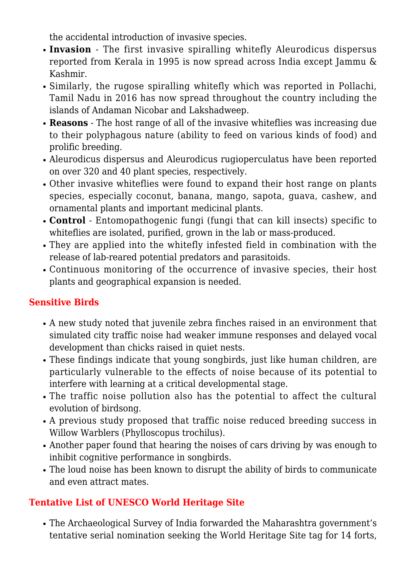the accidental introduction of invasive species.

- **Invasion** The first invasive spiralling whitefly Aleurodicus dispersus reported from Kerala in 1995 is now spread across India except Jammu & Kashmir.
- Similarly, the rugose spiralling whitefly which was reported in Pollachi, Tamil Nadu in 2016 has now spread throughout the country including the islands of Andaman Nicobar and Lakshadweep.
- **Reasons** The host range of all of the invasive whiteflies was increasing due to their polyphagous nature (ability to feed on various kinds of food) and prolific breeding.
- Aleurodicus dispersus and Aleurodicus rugioperculatus have been reported on over 320 and 40 plant species, respectively.
- Other invasive whiteflies were found to expand their host range on plants species, especially coconut, banana, mango, sapota, guava, cashew, and ornamental plants and important medicinal plants.
- **Control** Entomopathogenic fungi (fungi that can kill insects) specific to whiteflies are isolated, purified, grown in the lab or mass-produced.
- They are applied into the whitefly infested field in combination with the release of lab-reared potential predators and parasitoids.
- Continuous monitoring of the occurrence of invasive species, their host plants and geographical expansion is needed.

# **Sensitive Birds**

- A new study noted that juvenile zebra finches raised in an environment that simulated city traffic noise had weaker immune responses and delayed vocal development than chicks raised in quiet nests.
- These findings indicate that young songbirds, just like human children, are particularly vulnerable to the effects of noise because of its potential to interfere with learning at a critical developmental stage.
- The traffic noise pollution also has the potential to affect the cultural evolution of birdsong.
- A previous study proposed that traffic noise reduced breeding success in Willow Warblers (Phylloscopus trochilus).
- Another paper found that hearing the noises of cars driving by was enough to inhibit cognitive performance in songbirds.
- The loud noise has been known to disrupt the ability of birds to communicate and even attract mates.

# **Tentative List of UNESCO World Heritage Site**

The Archaeological Survey of India forwarded the Maharashtra government's tentative serial nomination seeking the World Heritage Site tag for 14 forts,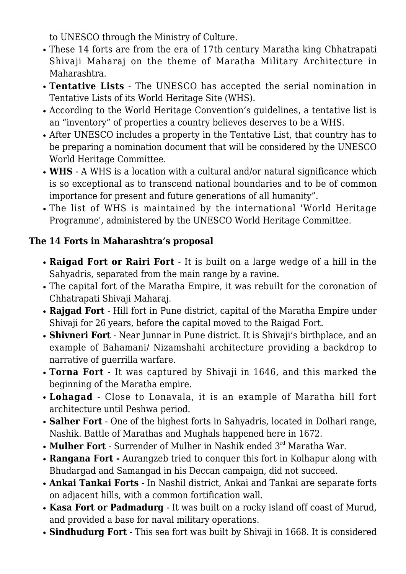to UNESCO through the Ministry of Culture.

- These 14 forts are from the era of 17th century Maratha king Chhatrapati Shivaji Maharaj on the theme of Maratha Military Architecture in Maharashtra.
- **Tentative Lists** The UNESCO has accepted the serial nomination in Tentative Lists of its World Heritage Site (WHS).
- According to the World Heritage Convention's guidelines, a tentative list is an "inventory" of properties a country believes deserves to be a WHS.
- After UNESCO includes a property in the Tentative List, that country has to be preparing a nomination document that will be considered by the UNESCO World Heritage Committee.
- **WHS** A WHS is a location with a cultural and/or natural significance which is so exceptional as to transcend national boundaries and to be of common importance for present and future generations of all humanity".
- The list of WHS is maintained by the international 'World Heritage Programme', administered by the UNESCO World Heritage Committee.

# **The 14 Forts in Maharashtra's proposal**

- **Raigad Fort or Rairi Fort** It is built on a large wedge of a hill in the Sahyadris, separated from the main range by a ravine.
- The capital fort of the Maratha Empire, it was rebuilt for the coronation of Chhatrapati Shivaji Maharaj.
- **Rajgad Fort** Hill fort in Pune district, capital of the Maratha Empire under Shivaji for 26 years, before the capital moved to the Raigad Fort.
- **Shivneri Fort** Near Junnar in Pune district. It is Shivaji's birthplace, and an example of Bahamani/ Nizamshahi architecture providing a backdrop to narrative of guerrilla warfare.
- **Torna Fort**  It was captured by Shivaji in 1646, and this marked the beginning of the Maratha empire.
- **Lohagad** Close to Lonavala, it is an example of Maratha hill fort architecture until Peshwa period.
- **Salher Fort** One of the highest forts in Sahyadris, located in Dolhari range, Nashik. Battle of Marathas and Mughals happened here in 1672.
- Mulher Fort Surrender of Mulher in Nashik ended 3<sup>rd</sup> Maratha War.
- **Rangana Fort -** Aurangzeb tried to conquer this fort in Kolhapur along with Bhudargad and Samangad in his Deccan campaign, did not succeed.
- **Ankai Tankai Forts** In Nashil district, Ankai and Tankai are separate forts on adjacent hills, with a common fortification wall.
- **Kasa Fort or Padmadurg**  It was built on a rocky island off coast of Murud, and provided a base for naval military operations.
- **Sindhudurg Fort** This sea fort was built by Shivaji in 1668. It is considered